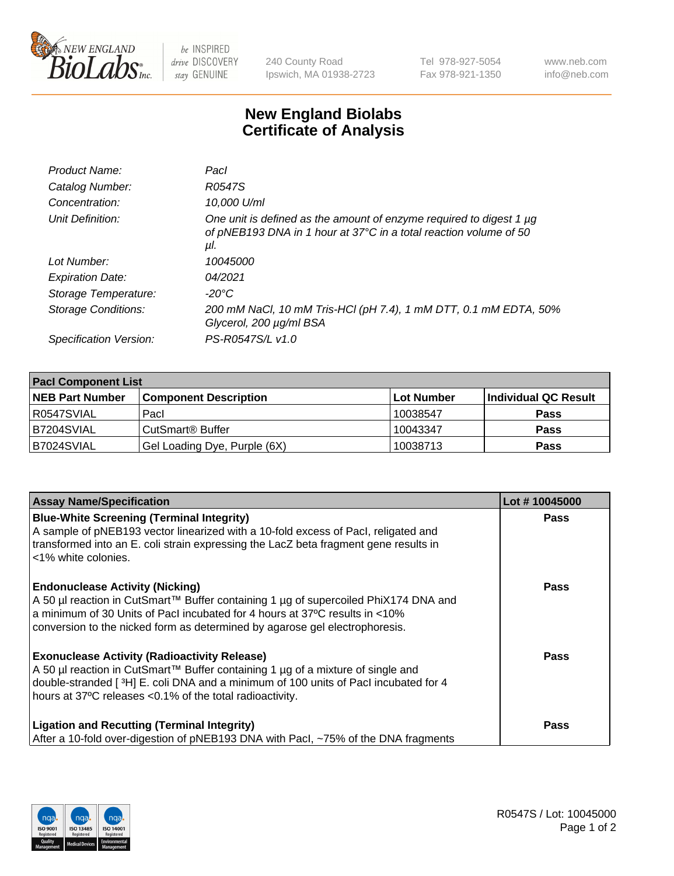

 $be$  INSPIRED drive DISCOVERY stay GENUINE

240 County Road Ipswich, MA 01938-2723 Tel 978-927-5054 Fax 978-921-1350 www.neb.com info@neb.com

## **New England Biolabs Certificate of Analysis**

| R0547S                                                                                                                                          |
|-------------------------------------------------------------------------------------------------------------------------------------------------|
|                                                                                                                                                 |
| 10,000 U/ml                                                                                                                                     |
| One unit is defined as the amount of enzyme required to digest 1 µg<br>of pNEB193 DNA in 1 hour at 37°C in a total reaction volume of 50<br>μl. |
| 10045000                                                                                                                                        |
| 04/2021                                                                                                                                         |
| $-20^{\circ}$ C                                                                                                                                 |
| 200 mM NaCl, 10 mM Tris-HCl (pH 7.4), 1 mM DTT, 0.1 mM EDTA, 50%<br>Glycerol, 200 µg/ml BSA                                                     |
| PS-R0547S/L v1.0                                                                                                                                |
|                                                                                                                                                 |

| <b>Pacl Component List</b> |                              |             |                      |  |  |
|----------------------------|------------------------------|-------------|----------------------|--|--|
| <b>NEB Part Number</b>     | <b>Component Description</b> | ∣Lot Number | Individual QC Result |  |  |
| R0547SVIAL                 | Pacl                         | 10038547    | <b>Pass</b>          |  |  |
| B7204SVIAL                 | CutSmart® Buffer             | 10043347    | <b>Pass</b>          |  |  |
| B7024SVIAL                 | Gel Loading Dye, Purple (6X) | 10038713    | <b>Pass</b>          |  |  |

| <b>Assay Name/Specification</b>                                                                                                                                                                                                                                                             | Lot #10045000 |
|---------------------------------------------------------------------------------------------------------------------------------------------------------------------------------------------------------------------------------------------------------------------------------------------|---------------|
| <b>Blue-White Screening (Terminal Integrity)</b><br>A sample of pNEB193 vector linearized with a 10-fold excess of Pacl, religated and<br>transformed into an E. coli strain expressing the LacZ beta fragment gene results in<br>l <1% white colonies.                                     | <b>Pass</b>   |
| <b>Endonuclease Activity (Nicking)</b><br>A 50 µl reaction in CutSmart™ Buffer containing 1 µg of supercoiled PhiX174 DNA and<br>a minimum of 30 Units of Pacl incubated for 4 hours at 37°C results in <10%<br>conversion to the nicked form as determined by agarose gel electrophoresis. | <b>Pass</b>   |
| <b>Exonuclease Activity (Radioactivity Release)</b><br>A 50 µl reaction in CutSmart™ Buffer containing 1 µg of a mixture of single and<br>double-stranded [3H] E. coli DNA and a minimum of 100 units of Pacl incubated for 4<br>hours at 37°C releases <0.1% of the total radioactivity.   | <b>Pass</b>   |
| <b>Ligation and Recutting (Terminal Integrity)</b><br>After a 10-fold over-digestion of pNEB193 DNA with Pacl, ~75% of the DNA fragments                                                                                                                                                    | <b>Pass</b>   |